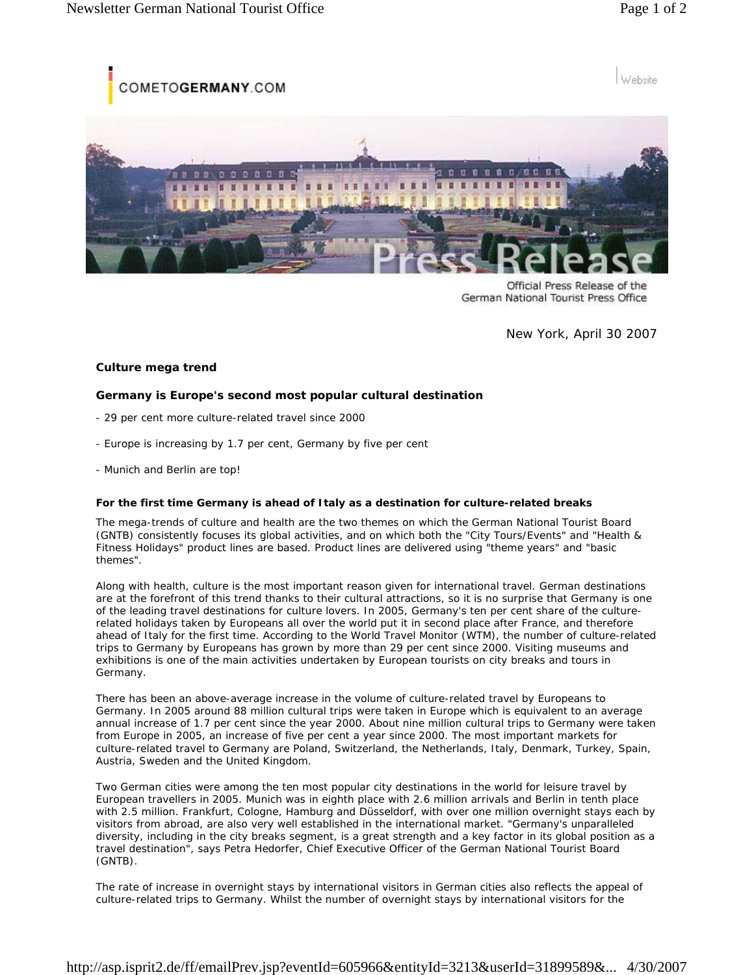OMETOGERMANY.COM

Website





Official Press Release of the German National Tourist Press Office

New York, April 30 2007

## **Culture mega trend**

## **Germany is Europe's second most popular cultural destination**

- *29 per cent more culture-related travel since 2000*
- *Europe is increasing by 1.7 per cent, Germany by five per cent*
- *Munich and Berlin are top!*

## **For the first time Germany is ahead of Italy as a destination for culture-related breaks**

The mega-trends of culture and health are the two themes on which the German National Tourist Board (GNTB) consistently focuses its global activities, and on which both the "City Tours/Events" and "Health & Fitness Holidays" product lines are based. Product lines are delivered using "theme years" and "basic themes".

Along with health, culture is the most important reason given for international travel. German destinations are at the forefront of this trend thanks to their cultural attractions, so it is no surprise that Germany is one of the leading travel destinations for culture lovers. In 2005, Germany's ten per cent share of the culturerelated holidays taken by Europeans all over the world put it in second place after France, and therefore ahead of Italy for the first time. According to the World Travel Monitor (WTM), the number of culture-related trips to Germany by Europeans has grown by more than 29 per cent since 2000. Visiting museums and exhibitions is one of the main activities undertaken by European tourists on city breaks and tours in Germany.

There has been an above-average increase in the volume of culture-related travel by Europeans to Germany. In 2005 around 88 million cultural trips were taken in Europe which is equivalent to an average annual increase of 1.7 per cent since the year 2000. About nine million cultural trips to Germany were taken from Europe in 2005, an increase of five per cent a year since 2000. The most important markets for culture-related travel to Germany are Poland, Switzerland, the Netherlands, Italy, Denmark, Turkey, Spain, Austria, Sweden and the United Kingdom.

Two German cities were among the ten most popular city destinations in the world for leisure travel by European travellers in 2005. Munich was in eighth place with 2.6 million arrivals and Berlin in tenth place with 2.5 million. Frankfurt, Cologne, Hamburg and Düsseldorf, with over one million overnight stays each by visitors from abroad, are also very well established in the international market. "Germany's unparalleled diversity, including in the city breaks segment, is a great strength and a key factor in its global position as a travel destination", says Petra Hedorfer, Chief Executive Officer of the German National Tourist Board (GNTB).

The rate of increase in overnight stays by international visitors in German cities also reflects the appeal of culture-related trips to Germany. Whilst the number of overnight stays by international visitors for the